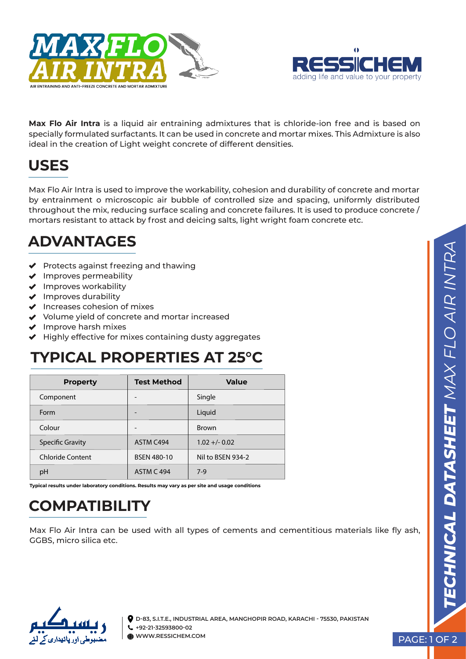



**Max Flo Air Intra** is a liquid air entraining admixtures that is chloride-ion free and is based on specially formulated surfactants. It can be used in concrete and mortar mixes. This Admixture is also ideal in the creation of Light weight concrete of different densities.

## **USES**

Max Flo Air Intra is used to improve the workability, cohesion and durability of concrete and mortar by entrainment o microscopic air bubble of controlled size and spacing, uniformly distributed throughout the mix, reducing surface scaling and concrete failures. It is used to produce concrete / mortars resistant to attack by frost and deicing salts, light wright foam concrete etc.

### **ADVANTAGES**

- $\blacktriangleright$  Protects against freezing and thawing
- $\blacklozenge$  Improves permeability
- $\blacktriangleright$  Improves workability
- $\blacktriangleright$  Improves durability
- $\blacktriangleright$  Increases cohesion of mixes
- ◆ Volume yield of concrete and mortar increased
- $\blacktriangleright$  Improve harsh mixes
- $\blacktriangleright$  Highly effective for mixes containing dusty aggregates

## **TYPICAL PROPERTIES AT 25°C**

| <b>Property</b>         | <b>Test Method</b> | <b>Value</b>      |
|-------------------------|--------------------|-------------------|
| Component               |                    | Single            |
| Form                    |                    | Liquid            |
| Colour                  |                    | <b>Brown</b>      |
| <b>Specific Gravity</b> | ASTM C494          | $1.02 + - 0.02$   |
| <b>Chloride Content</b> | <b>BSEN 480-10</b> | Nil to BSEN 934-2 |
| pH                      | <b>ASTM C 494</b>  | $7-9$             |

**Typical results under laboratory conditions. Results may vary as per site and usage conditions** 

# **COMPATIBILITY**

Max Flo Air Intra can be used with all types of cements and cementitious materials like fly ash, GGBS, micro silica etc.